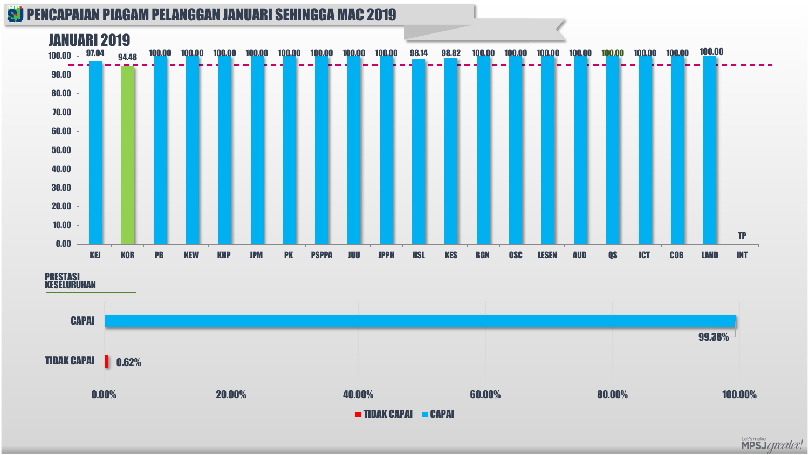

#### PRESTASI KESELURUHAN



Let'smake<br>**MPSJ** *greater!*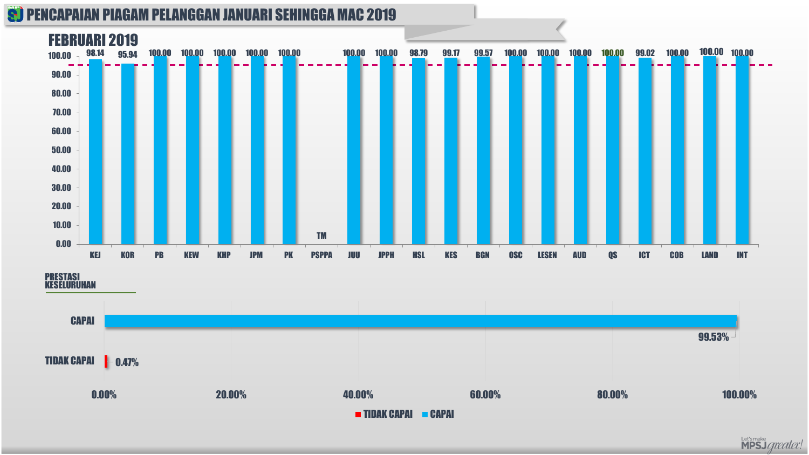#### **S) PENCAPAIAN PIAGAM PELANGGAN JANUARI SEHINGGA MAC 2019**



PRESTASI KESELURUHAN



Let'smake<br>**MPSJ** *greater!*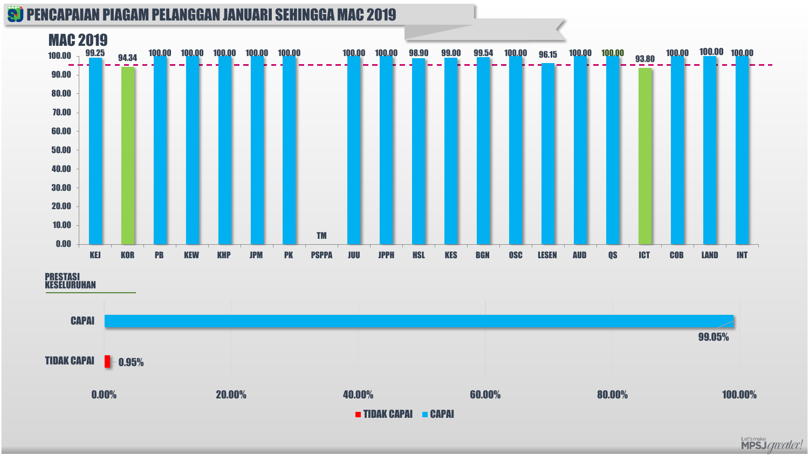#### **S) PENCAPAIAN PIAGAM PELANGGAN JANUARI SEHINGGA MAC 2019**



PRESTASI KESELURUHAN



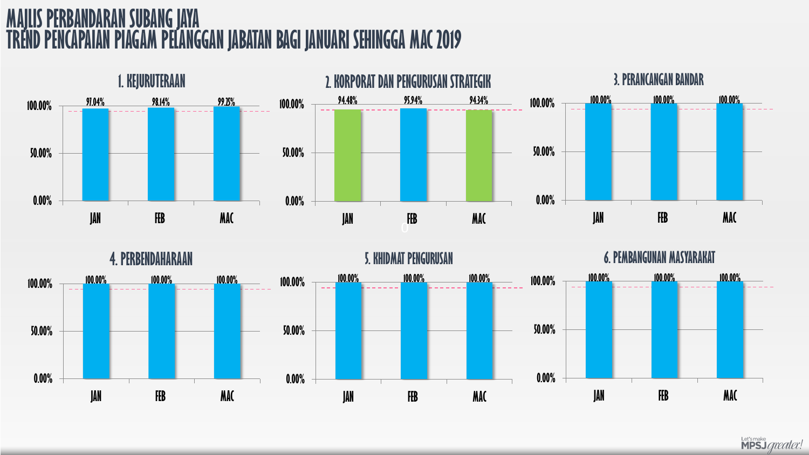# **MAJLIS PERBANDARAN SUBANG JAYA TREND PENCAPAIAN PIAGAM PELANGGANJABATAN BAGI JANUARI SEHINGGA MAC 2019**





Let's make<br>**MPSJ** *greater*!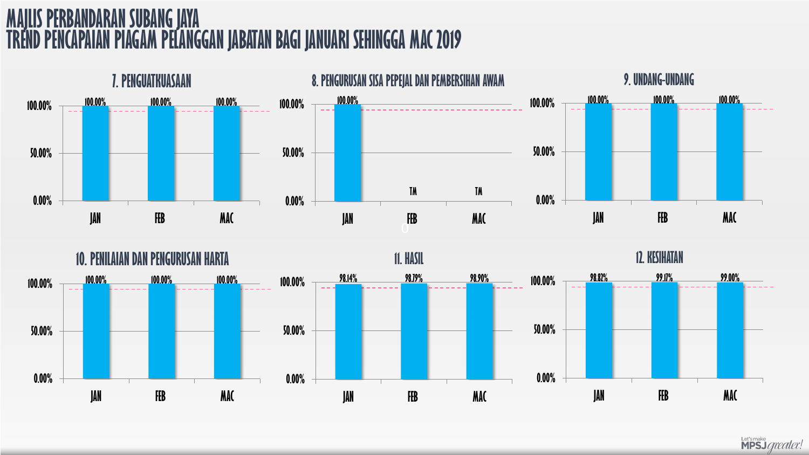## **MAJLIS PERBANDARAN SUBANG JAYA TREND PENCAPAIAN PIAGAM PELANGGAN JABATAN BAGI JANUARI SEHINGGA MAC 2019**





Let's make<br>**MPSJ** *greater!*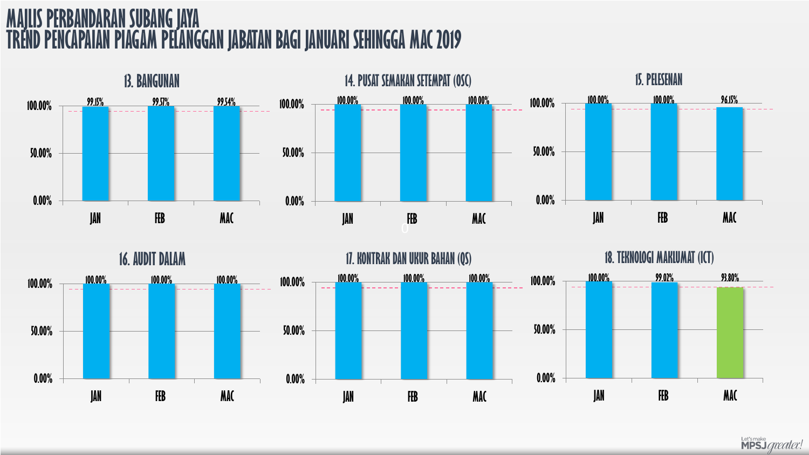# **MAJLIS PERBANDARAN SUBANG JAYA TREND PENCAPAIAN PIAGAM PELANGGAN JABATAN BAGI JANUARI SEHINGGA MAC 2019**





Let's make<br>**MPSJ** *greater!*